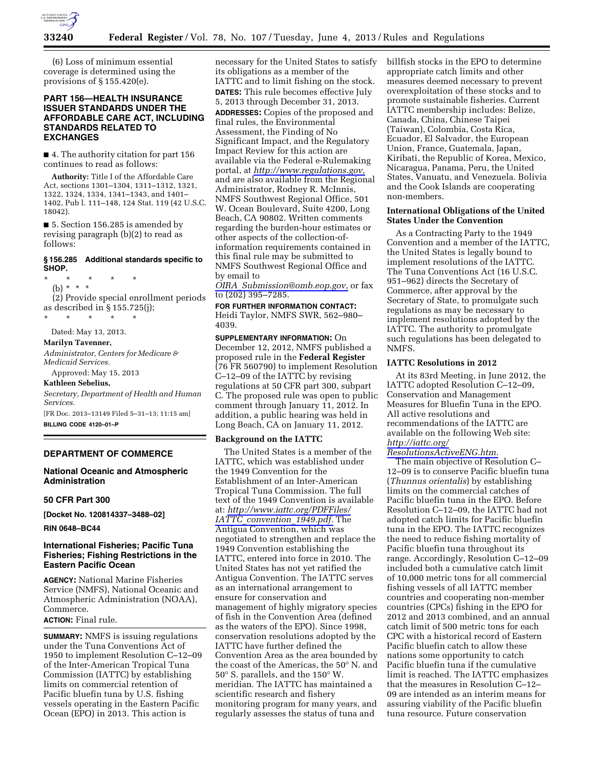

(6) Loss of minimum essential coverage is determined using the provisions of § 155.420(e).

## **PART 156—HEALTH INSURANCE ISSUER STANDARDS UNDER THE AFFORDABLE CARE ACT, INCLUDING STANDARDS RELATED TO EXCHANGES**

■ 4. The authority citation for part 156 continues to read as follows:

**Authority:** Title I of the Affordable Care Act, sections 1301–1304, 1311–1312, 1321, 1322, 1324, 1334, 1341–1343, and 1401– 1402, Pub l. 111–148, 124 Stat. 119 (42 U.S.C. 18042).

■ 5. Section 156.285 is amended by revising paragraph (b)(2) to read as follows:

#### **§ 156.285 Additional standards specific to SHOP.**

\* \* \* \* \* (b) \* \* \* (2) Provide special enrollment periods

as described in § 155.725(j); \* \* \* \* \*

Dated: May 13, 2013.

#### **Marilyn Tavenner,**

*Administrator, Centers for Medicare & Medicaid Services.* 

Approved: May 15, 2013

# **Kathleen Sebelius,**

*Secretary, Department of Health and Human Services.*  [FR Doc. 2013–13149 Filed 5–31–13; 11:15 am]

**BILLING CODE 4120–01–P** 

# **DEPARTMENT OF COMMERCE**

### **National Oceanic and Atmospheric Administration**

### **50 CFR Part 300**

**[Docket No. 120814337–3488–02]** 

**RIN 0648–BC44** 

### **International Fisheries; Pacific Tuna Fisheries; Fishing Restrictions in the Eastern Pacific Ocean**

**AGENCY:** National Marine Fisheries Service (NMFS), National Oceanic and Atmospheric Administration (NOAA), Commerce.

# **ACTION:** Final rule.

**SUMMARY:** NMFS is issuing regulations under the Tuna Conventions Act of 1950 to implement Resolution C–12–09 of the Inter-American Tropical Tuna Commission (IATTC) by establishing limits on commercial retention of Pacific bluefin tuna by U.S. fishing vessels operating in the Eastern Pacific Ocean (EPO) in 2013. This action is

necessary for the United States to satisfy its obligations as a member of the IATTC and to limit fishing on the stock. **DATES:** This rule becomes effective July 5, 2013 through December 31, 2013. **ADDRESSES:** Copies of the proposed and final rules, the Environmental Assessment, the Finding of No Significant Impact, and the Regulatory Impact Review for this action are available via the Federal e-Rulemaking portal, at *[http://www.regulations.gov,](http://www.regulations.gov)*  and are also available from the Regional Administrator, Rodney R. McInnis, NMFS Southwest Regional Office, 501 W. Ocean Boulevard, Suite 4200, Long Beach, CA 90802. Written comments regarding the burden-hour estimates or other aspects of the collection-ofinformation requirements contained in this final rule may be submitted to NMFS Southwest Regional Office and by email to

*OIRA*\_*[Submission@omb.eop.gov,](mailto:OIRA_Submission@omb.eop.gov)* or fax to (202) 395–7285.

**FOR FURTHER INFORMATION CONTACT:**  Heidi Taylor, NMFS SWR, 562–980– 4039.

**SUPPLEMENTARY INFORMATION:** On December 12, 2012, NMFS published a proposed rule in the **Federal Register**  (76 FR 560790) to implement Resolution C–12–09 of the IATTC by revising regulations at 50 CFR part 300, subpart C. The proposed rule was open to public comment through January 11, 2012. In addition, a public hearing was held in Long Beach, CA on January 11, 2012.

#### **Background on the IATTC**

The United States is a member of the IATTC, which was established under the 1949 Convention for the Establishment of an Inter-American Tropical Tuna Commission. The full text of the 1949 Convention is available at: *[http://www.iattc.org/PDFFiles/](http://www.iattc.org/PDFFiles/IATTC_convention_1949.pdf)  IATTC*\_*[convention](http://www.iattc.org/PDFFiles/IATTC_convention_1949.pdf)*\_*1949.pdf.* The Antigua Convention, which was negotiated to strengthen and replace the 1949 Convention establishing the IATTC, entered into force in 2010. The United States has not yet ratified the Antigua Convention. The IATTC serves as an international arrangement to ensure for conservation and management of highly migratory species of fish in the Convention Area (defined as the waters of the EPO). Since 1998, conservation resolutions adopted by the IATTC have further defined the Convention Area as the area bounded by the coast of the Americas, the 50° N. and 50° S. parallels, and the 150° W. meridian. The IATTC has maintained a scientific research and fishery monitoring program for many years, and regularly assesses the status of tuna and

billfish stocks in the EPO to determine appropriate catch limits and other measures deemed necessary to prevent overexploitation of these stocks and to promote sustainable fisheries. Current IATTC membership includes: Belize, Canada, China, Chinese Taipei (Taiwan), Colombia, Costa Rica, Ecuador, El Salvador, the European Union, France, Guatemala, Japan, Kiribati, the Republic of Korea, Mexico, Nicaragua, Panama, Peru, the United States, Vanuatu, and Venezuela. Bolivia and the Cook Islands are cooperating non-members.

#### **International Obligations of the United States Under the Convention**

As a Contracting Party to the 1949 Convention and a member of the IATTC, the United States is legally bound to implement resolutions of the IATTC. The Tuna Conventions Act (16 U.S.C. 951–962) directs the Secretary of Commerce, after approval by the Secretary of State, to promulgate such regulations as may be necessary to implement resolutions adopted by the IATTC. The authority to promulgate such regulations has been delegated to NMFS.

#### **IATTC Resolutions in 2012**

At its 83rd Meeting, in June 2012, the IATTC adopted Resolution C–12–09, Conservation and Management Measures for Bluefin Tuna in the EPO. All active resolutions and recommendations of the IATTC are available on the following Web site: *[http://iattc.org/](http://iattc.org/ResolutionsActiveENG.htm)* 

*[ResolutionsActiveENG.htm.](http://iattc.org/ResolutionsActiveENG.htm)* 

The main objective of Resolution C– 12–09 is to conserve Pacific bluefin tuna (*Thunnus orientalis*) by establishing limits on the commercial catches of Pacific bluefin tuna in the EPO. Before Resolution C–12–09, the IATTC had not adopted catch limits for Pacific bluefin tuna in the EPO. The IATTC recognizes the need to reduce fishing mortality of Pacific bluefin tuna throughout its range. Accordingly, Resolution C–12–09 included both a cumulative catch limit of 10,000 metric tons for all commercial fishing vessels of all IATTC member countries and cooperating non-member countries (CPCs) fishing in the EPO for 2012 and 2013 combined, and an annual catch limit of 500 metric tons for each CPC with a historical record of Eastern Pacific bluefin catch to allow these nations some opportunity to catch Pacific bluefin tuna if the cumulative limit is reached. The IATTC emphasizes that the measures in Resolution C–12– 09 are intended as an interim means for assuring viability of the Pacific bluefin tuna resource. Future conservation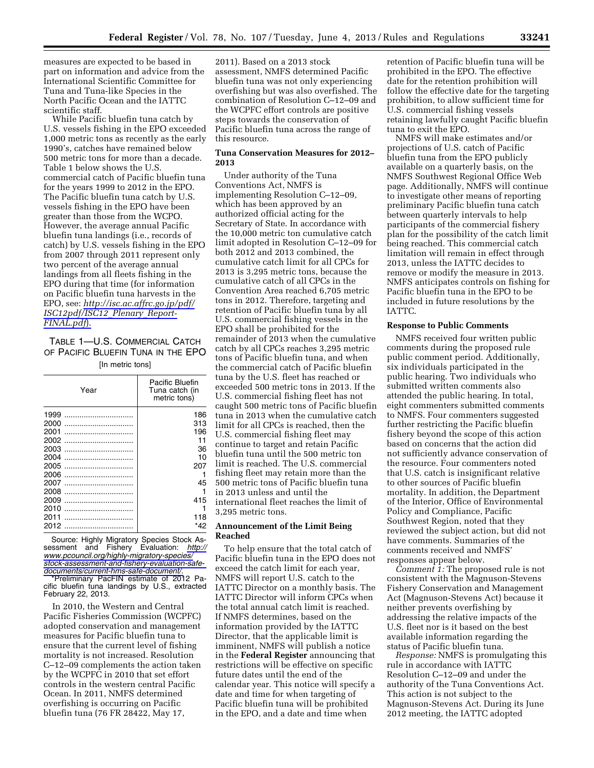measures are expected to be based in part on information and advice from the International Scientific Committee for Tuna and Tuna-like Species in the North Pacific Ocean and the IATTC scientific staff.

While Pacific bluefin tuna catch by U.S. vessels fishing in the EPO exceeded 1,000 metric tons as recently as the early 1990's, catches have remained below 500 metric tons for more than a decade. Table 1 below shows the U.S. commercial catch of Pacific bluefin tuna for the years 1999 to 2012 in the EPO. The Pacific bluefin tuna catch by U.S. vessels fishing in the EPO have been greater than those from the WCPO. However, the average annual Pacific bluefin tuna landings (i.e., records of catch) by U.S. vessels fishing in the EPO from 2007 through 2011 represent only two percent of the average annual landings from all fleets fishing in the EPO during that time (for information on Pacific bluefin tuna harvests in the EPO, see: *[http://isc.ac.affrc.go.jp/pdf/](http://isc.ac.affrc.go.jp/pdf/ISC12pdf/ISC12_Plenary_Report-FINAL.pdf)  [ISC12pdf/ISC12](http://isc.ac.affrc.go.jp/pdf/ISC12pdf/ISC12_Plenary_Report-FINAL.pdf)*\_*Plenary*\_*Report-[FINAL.pdf](http://isc.ac.affrc.go.jp/pdf/ISC12pdf/ISC12_Plenary_Report-FINAL.pdf)*).

# TABLE 1—U.S. COMMERCIAL CATCH OF PACIFIC BLUEFIN TUNA IN THE EPO [In metric tons]

| Year | Pacific Bluefin<br>Tuna catch (in<br>metric tons) |
|------|---------------------------------------------------|
| 1999 | 186                                               |
| 2000 | 313                                               |
| 2001 | 196                                               |
| 2002 | 11                                                |
| 2003 | 36                                                |
| 2004 | 10                                                |
| 2005 | 207                                               |
| 2006 |                                                   |
| 2007 | 45                                                |
| 2008 |                                                   |
| 2009 | 415                                               |
| 2010 |                                                   |
| 2011 | 118                                               |
| 2012 | *42                                               |
|      |                                                   |

Source: Highly Migratory Species Stock Assessment and Fishery Evaluation: *[http://](http://www.pcouncil.org/highly-migratory-species/stock-assessment-and-fishery-evaluation-safe-documents/current-hms-safe-document/)  [www.pcouncil.org/highly-migratory-species/](http://www.pcouncil.org/highly-migratory-species/stock-assessment-and-fishery-evaluation-safe-documents/current-hms-safe-document/)  [stock-assessment-and-fishery-evaluation-safe](http://www.pcouncil.org/highly-migratory-species/stock-assessment-and-fishery-evaluation-safe-documents/current-hms-safe-document/)[documents/current-hms-safe-document/.](http://www.pcouncil.org/highly-migratory-species/stock-assessment-and-fishery-evaluation-safe-documents/current-hms-safe-document/)* 

\*Preliminary PacFIN estimate of 2012 Pacific bluefin tuna landings by U.S., extracted February 22, 2013.

In 2010, the Western and Central Pacific Fisheries Commission (WCPFC) adopted conservation and management measures for Pacific bluefin tuna to ensure that the current level of fishing mortality is not increased. Resolution C–12–09 complements the action taken by the WCPFC in 2010 that set effort controls in the western central Pacific Ocean. In 2011, NMFS determined overfishing is occurring on Pacific bluefin tuna (76 FR 28422, May 17,

2011). Based on a 2013 stock assessment, NMFS determined Pacific bluefin tuna was not only experiencing overfishing but was also overfished. The combination of Resolution C–12–09 and the WCPFC effort controls are positive steps towards the conservation of Pacific bluefin tuna across the range of this resource.

# **Tuna Conservation Measures for 2012– 2013**

Under authority of the Tuna Conventions Act, NMFS is implementing Resolution C–12–09, which has been approved by an authorized official acting for the Secretary of State. In accordance with the 10,000 metric ton cumulative catch limit adopted in Resolution C–12–09 for both 2012 and 2013 combined, the cumulative catch limit for all CPCs for 2013 is 3,295 metric tons, because the cumulative catch of all CPCs in the Convention Area reached 6,705 metric tons in 2012. Therefore, targeting and retention of Pacific bluefin tuna by all U.S. commercial fishing vessels in the EPO shall be prohibited for the remainder of 2013 when the cumulative catch by all CPCs reaches 3,295 metric tons of Pacific bluefin tuna, and when the commercial catch of Pacific bluefin tuna by the U.S. fleet has reached or exceeded 500 metric tons in 2013. If the U.S. commercial fishing fleet has not caught 500 metric tons of Pacific bluefin tuna in 2013 when the cumulative catch limit for all CPCs is reached, then the U.S. commercial fishing fleet may continue to target and retain Pacific bluefin tuna until the 500 metric ton limit is reached. The U.S. commercial fishing fleet may retain more than the 500 metric tons of Pacific bluefin tuna in 2013 unless and until the international fleet reaches the limit of 3,295 metric tons.

### **Announcement of the Limit Being Reached**

To help ensure that the total catch of Pacific bluefin tuna in the EPO does not exceed the catch limit for each year, NMFS will report U.S. catch to the IATTC Director on a monthly basis. The IATTC Director will inform CPCs when the total annual catch limit is reached. If NMFS determines, based on the information provided by the IATTC Director, that the applicable limit is imminent, NMFS will publish a notice in the **Federal Register** announcing that restrictions will be effective on specific future dates until the end of the calendar year. This notice will specify a date and time for when targeting of Pacific bluefin tuna will be prohibited in the EPO, and a date and time when

retention of Pacific bluefin tuna will be prohibited in the EPO. The effective date for the retention prohibition will follow the effective date for the targeting prohibition, to allow sufficient time for U.S. commercial fishing vessels retaining lawfully caught Pacific bluefin tuna to exit the EPO.

NMFS will make estimates and/or projections of U.S. catch of Pacific bluefin tuna from the EPO publicly available on a quarterly basis, on the NMFS Southwest Regional Office Web page. Additionally, NMFS will continue to investigate other means of reporting preliminary Pacific bluefin tuna catch between quarterly intervals to help participants of the commercial fishery plan for the possibility of the catch limit being reached. This commercial catch limitation will remain in effect through 2013, unless the IATTC decides to remove or modify the measure in 2013. NMFS anticipates controls on fishing for Pacific bluefin tuna in the EPO to be included in future resolutions by the IATTC.

#### **Response to Public Comments**

NMFS received four written public comments during the proposed rule public comment period. Additionally, six individuals participated in the public hearing. Two individuals who submitted written comments also attended the public hearing. In total, eight commenters submitted comments to NMFS. Four commenters suggested further restricting the Pacific bluefin fishery beyond the scope of this action based on concerns that the action did not sufficiently advance conservation of the resource. Four commenters noted that U.S. catch is insignificant relative to other sources of Pacific bluefin mortality. In addition, the Department of the Interior, Office of Environmental Policy and Compliance, Pacific Southwest Region, noted that they reviewed the subject action, but did not have comments. Summaries of the comments received and NMFS' responses appear below.

*Comment 1:* The proposed rule is not consistent with the Magnuson-Stevens Fishery Conservation and Management Act (Magnuson-Stevens Act) because it neither prevents overfishing by addressing the relative impacts of the U.S. fleet nor is it based on the best available information regarding the status of Pacific bluefin tuna.

*Response:* NMFS is promulgating this rule in accordance with IATTC Resolution C–12–09 and under the authority of the Tuna Conventions Act. This action is not subject to the Magnuson-Stevens Act. During its June 2012 meeting, the IATTC adopted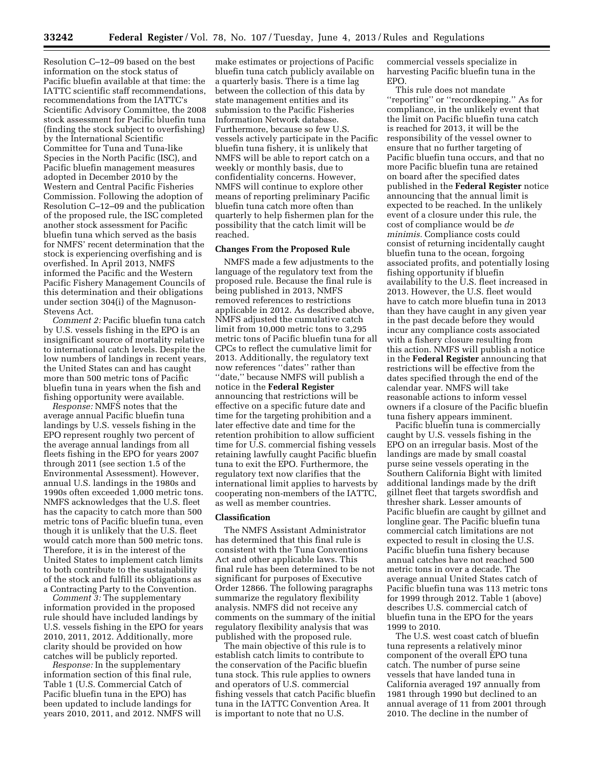Resolution C–12–09 based on the best information on the stock status of Pacific bluefin available at that time: the IATTC scientific staff recommendations, recommendations from the IATTC's Scientific Advisory Committee, the 2008 stock assessment for Pacific bluefin tuna (finding the stock subject to overfishing) by the International Scientific Committee for Tuna and Tuna-like Species in the North Pacific (ISC), and Pacific bluefin management measures adopted in December 2010 by the Western and Central Pacific Fisheries Commission. Following the adoption of Resolution C–12–09 and the publication of the proposed rule, the ISC completed another stock assessment for Pacific bluefin tuna which served as the basis for NMFS' recent determination that the stock is experiencing overfishing and is overfished. In April 2013, NMFS informed the Pacific and the Western Pacific Fishery Management Councils of this determination and their obligations under section 304(i) of the Magnuson-Stevens Act.

*Comment 2:* Pacific bluefin tuna catch by U.S. vessels fishing in the EPO is an insignificant source of mortality relative to international catch levels. Despite the low numbers of landings in recent years, the United States can and has caught more than 500 metric tons of Pacific bluefin tuna in years when the fish and fishing opportunity were available.

*Response:* NMFS notes that the average annual Pacific bluefin tuna landings by U.S. vessels fishing in the EPO represent roughly two percent of the average annual landings from all fleets fishing in the EPO for years 2007 through 2011 (see section 1.5 of the Environmental Assessment). However, annual U.S. landings in the 1980s and 1990s often exceeded 1,000 metric tons. NMFS acknowledges that the U.S. fleet has the capacity to catch more than 500 metric tons of Pacific bluefin tuna, even though it is unlikely that the U.S. fleet would catch more than 500 metric tons. Therefore, it is in the interest of the United States to implement catch limits to both contribute to the sustainability of the stock and fulfill its obligations as a Contracting Party to the Convention.

*Comment 3:* The supplementary information provided in the proposed rule should have included landings by U.S. vessels fishing in the EPO for years 2010, 2011, 2012. Additionally, more clarity should be provided on how catches will be publicly reported.

*Response:* In the supplementary information section of this final rule, Table 1 (U.S. Commercial Catch of Pacific bluefin tuna in the EPO) has been updated to include landings for years 2010, 2011, and 2012. NMFS will

make estimates or projections of Pacific bluefin tuna catch publicly available on a quarterly basis. There is a time lag between the collection of this data by state management entities and its submission to the Pacific Fisheries Information Network database. Furthermore, because so few U.S. vessels actively participate in the Pacific bluefin tuna fishery, it is unlikely that NMFS will be able to report catch on a weekly or monthly basis, due to confidentiality concerns. However, NMFS will continue to explore other means of reporting preliminary Pacific bluefin tuna catch more often than quarterly to help fishermen plan for the possibility that the catch limit will be reached.

### **Changes From the Proposed Rule**

NMFS made a few adjustments to the language of the regulatory text from the proposed rule. Because the final rule is being published in 2013, NMFS removed references to restrictions applicable in 2012. As described above, NMFS adjusted the cumulative catch limit from 10,000 metric tons to 3,295 metric tons of Pacific bluefin tuna for all CPCs to reflect the cumulative limit for 2013. Additionally, the regulatory text now references ''dates'' rather than ''date,'' because NMFS will publish a notice in the **Federal Register**  announcing that restrictions will be effective on a specific future date and time for the targeting prohibition and a later effective date and time for the retention prohibition to allow sufficient time for U.S. commercial fishing vessels retaining lawfully caught Pacific bluefin tuna to exit the EPO. Furthermore, the regulatory text now clarifies that the international limit applies to harvests by cooperating non-members of the IATTC, as well as member countries.

#### **Classification**

The NMFS Assistant Administrator has determined that this final rule is consistent with the Tuna Conventions Act and other applicable laws. This final rule has been determined to be not significant for purposes of Executive Order 12866. The following paragraphs summarize the regulatory flexibility analysis. NMFS did not receive any comments on the summary of the initial regulatory flexibility analysis that was published with the proposed rule.

The main objective of this rule is to establish catch limits to contribute to the conservation of the Pacific bluefin tuna stock. This rule applies to owners and operators of U.S. commercial fishing vessels that catch Pacific bluefin tuna in the IATTC Convention Area. It is important to note that no U.S.

commercial vessels specialize in harvesting Pacific bluefin tuna in the EPO.

This rule does not mandate ''reporting'' or ''recordkeeping.'' As for compliance, in the unlikely event that the limit on Pacific bluefin tuna catch is reached for 2013, it will be the responsibility of the vessel owner to ensure that no further targeting of Pacific bluefin tuna occurs, and that no more Pacific bluefin tuna are retained on board after the specified dates published in the **Federal Register** notice announcing that the annual limit is expected to be reached. In the unlikely event of a closure under this rule, the cost of compliance would be *de minimis.* Compliance costs could consist of returning incidentally caught bluefin tuna to the ocean, forgoing associated profits, and potentially losing fishing opportunity if bluefin availability to the U.S. fleet increased in 2013. However, the U.S. fleet would have to catch more bluefin tuna in 2013 than they have caught in any given year in the past decade before they would incur any compliance costs associated with a fishery closure resulting from this action. NMFS will publish a notice in the **Federal Register** announcing that restrictions will be effective from the dates specified through the end of the calendar year. NMFS will take reasonable actions to inform vessel owners if a closure of the Pacific bluefin tuna fishery appears imminent.

Pacific bluefin tuna is commercially caught by U.S. vessels fishing in the EPO on an irregular basis. Most of the landings are made by small coastal purse seine vessels operating in the Southern California Bight with limited additional landings made by the drift gillnet fleet that targets swordfish and thresher shark. Lesser amounts of Pacific bluefin are caught by gillnet and longline gear. The Pacific bluefin tuna commercial catch limitations are not expected to result in closing the U.S. Pacific bluefin tuna fishery because annual catches have not reached 500 metric tons in over a decade. The average annual United States catch of Pacific bluefin tuna was 113 metric tons for 1999 through 2012. Table 1 (above) describes U.S. commercial catch of bluefin tuna in the EPO for the years 1999 to 2010.

The U.S. west coast catch of bluefin tuna represents a relatively minor component of the overall EPO tuna catch. The number of purse seine vessels that have landed tuna in California averaged 197 annually from 1981 through 1990 but declined to an annual average of 11 from 2001 through 2010. The decline in the number of